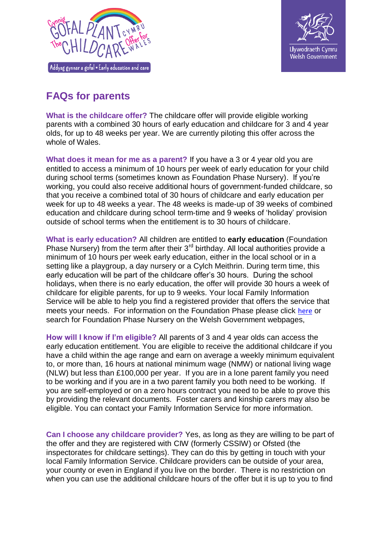



## **FAQs for parents**

**What is the childcare offer?** The childcare offer will provide eligible working parents with a combined 30 hours of early education and childcare for 3 and 4 year olds, for up to 48 weeks per year. We are currently piloting this offer across the whole of Wales.

**What does it mean for me as a parent?** If you have a 3 or 4 year old you are entitled to access a minimum of 10 hours per week of early education for your child during school terms (sometimes known as Foundation Phase Nursery). If you're working, you could also receive additional hours of government-funded childcare, so that you receive a combined total of 30 hours of childcare and early education per week for up to 48 weeks a year. The 48 weeks is made-up of 39 weeks of combined education and childcare during school term-time and 9 weeks of 'holiday' provision outside of school terms when the entitlement is to 30 hours of childcare.

**What is early education?** All children are entitled to **early education** (Foundation Phase Nursery) from the term after their  $3<sup>rd</sup>$  birthday. All local authorities provide a minimum of 10 hours per week early education, either in the local school or in a setting like a playgroup, a day nursery or a Cylch Meithrin. During term time, this early education will be part of the childcare offer's 30 hours. During the school holidays, when there is no early education, the offer will provide 30 hours a week of childcare for eligible parents, for up to 9 weeks. Your local Family Information Service will be able to help you find a registered provider that offers the service that meets your needs. For information on the Foundation Phase please click [here](http://gov.wales/topics/educationandskills/foundation-phase/foundation-phase-nursery-guide-for-parents-and-carers/?lang=en) or search for Foundation Phase Nursery on the Welsh Government webpages,

**How will I know if I'm eligible?** All parents of 3 and 4 year olds can access the early education entitlement. You are eligible to receive the additional childcare if you have a child within the age range and earn on average a weekly minimum equivalent to, or more than, 16 hours at national minimum wage (NMW) or national living wage (NLW) but less than £100,000 per year. If you are in a lone parent family you need to be working and if you are in a two parent family you both need to be working. If you are self-employed or on a zero hours contract you need to be able to prove this by providing the relevant documents. Foster carers and kinship carers may also be eligible. You can contact your Family Information Service for more information.

**Can I choose any childcare provider?** Yes, as long as they are willing to be part of the offer and they are registered with CIW (formerly CSSIW) or Ofsted (the inspectorates for childcare settings). They can do this by getting in touch with your local Family Information Service. Childcare providers can be outside of your area, your county or even in England if you live on the border. There is no restriction on when you can use the additional childcare hours of the offer but it is up to you to find